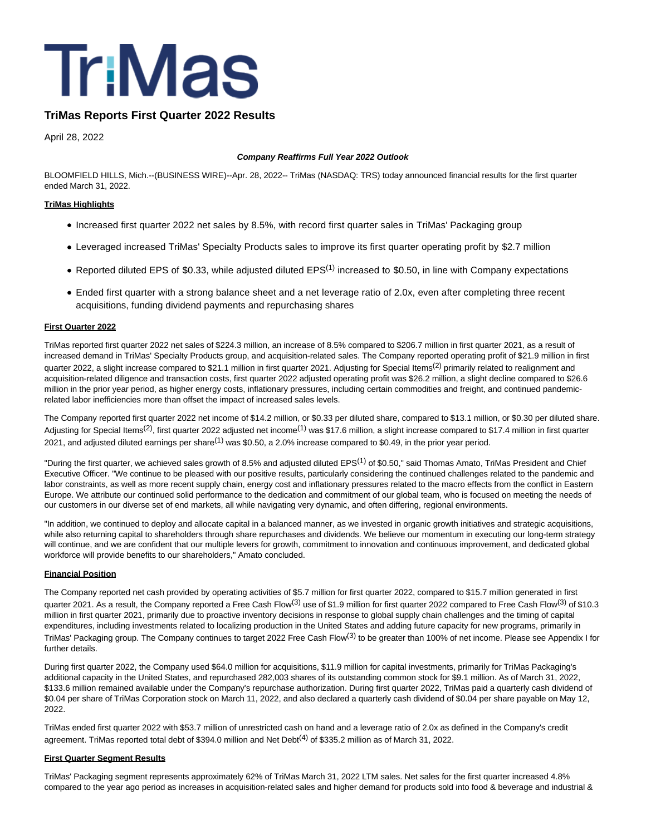

# **TriMas Reports First Quarter 2022 Results**

April 28, 2022

#### **Company Reaffirms Full Year 2022 Outlook**

BLOOMFIELD HILLS, Mich.--(BUSINESS WIRE)--Apr. 28, 2022-- TriMas (NASDAQ: TRS) today announced financial results for the first quarter ended March 31, 2022.

#### **TriMas Highlights**

- Increased first quarter 2022 net sales by 8.5%, with record first quarter sales in TriMas' Packaging group
- Leveraged increased TriMas' Specialty Products sales to improve its first quarter operating profit by \$2.7 million
- Reported diluted EPS of \$0.33, while adjusted diluted EPS<sup>(1)</sup> increased to \$0.50, in line with Company expectations
- Ended first quarter with a strong balance sheet and a net leverage ratio of 2.0x, even after completing three recent acquisitions, funding dividend payments and repurchasing shares

#### **First Quarter 2022**

TriMas reported first quarter 2022 net sales of \$224.3 million, an increase of 8.5% compared to \$206.7 million in first quarter 2021, as a result of increased demand in TriMas' Specialty Products group, and acquisition-related sales. The Company reported operating profit of \$21.9 million in first quarter 2022, a slight increase compared to \$21.1 million in first quarter 2021. Adjusting for Special Items<sup>(2)</sup> primarily related to realignment and acquisition-related diligence and transaction costs, first quarter 2022 adjusted operating profit was \$26.2 million, a slight decline compared to \$26.6 million in the prior year period, as higher energy costs, inflationary pressures, including certain commodities and freight, and continued pandemicrelated labor inefficiencies more than offset the impact of increased sales levels.

The Company reported first quarter 2022 net income of \$14.2 million, or \$0.33 per diluted share, compared to \$13.1 million, or \$0.30 per diluted share. Adjusting for Special Items<sup>(2)</sup>, first quarter 2022 adjusted net income<sup>(1)</sup> was \$17.6 million, a slight increase compared to \$17.4 million in first quarter 2021, and adjusted diluted earnings per share<sup>(1)</sup> was \$0.50, a 2.0% increase compared to \$0.49, in the prior year period.

"During the first quarter, we achieved sales growth of 8.5% and adjusted diluted EPS<sup>(1)</sup> of \$0.50," said Thomas Amato, TriMas President and Chief Executive Officer. "We continue to be pleased with our positive results, particularly considering the continued challenges related to the pandemic and labor constraints, as well as more recent supply chain, energy cost and inflationary pressures related to the macro effects from the conflict in Eastern Europe. We attribute our continued solid performance to the dedication and commitment of our global team, who is focused on meeting the needs of our customers in our diverse set of end markets, all while navigating very dynamic, and often differing, regional environments.

"In addition, we continued to deploy and allocate capital in a balanced manner, as we invested in organic growth initiatives and strategic acquisitions, while also returning capital to shareholders through share repurchases and dividends. We believe our momentum in executing our long-term strategy will continue, and we are confident that our multiple levers for growth, commitment to innovation and continuous improvement, and dedicated global workforce will provide benefits to our shareholders," Amato concluded.

#### **Financial Position**

The Company reported net cash provided by operating activities of \$5.7 million for first quarter 2022, compared to \$15.7 million generated in first quarter 2021. As a result, the Company reported a Free Cash Flow<sup>(3)</sup> use of \$1.9 million for first quarter 2022 compared to Free Cash Flow<sup>(3)</sup> of \$10.3 million in first quarter 2021, primarily due to proactive inventory decisions in response to global supply chain challenges and the timing of capital expenditures, including investments related to localizing production in the United States and adding future capacity for new programs, primarily in TriMas' Packaging group. The Company continues to target 2022 Free Cash Flow<sup>(3)</sup> to be greater than 100% of net income. Please see Appendix I for further details.

During first quarter 2022, the Company used \$64.0 million for acquisitions, \$11.9 million for capital investments, primarily for TriMas Packaging's additional capacity in the United States, and repurchased 282,003 shares of its outstanding common stock for \$9.1 million. As of March 31, 2022, \$133.6 million remained available under the Company's repurchase authorization. During first quarter 2022, TriMas paid a quarterly cash dividend of \$0.04 per share of TriMas Corporation stock on March 11, 2022, and also declared a quarterly cash dividend of \$0.04 per share payable on May 12, 2022.

TriMas ended first quarter 2022 with \$53.7 million of unrestricted cash on hand and a leverage ratio of 2.0x as defined in the Company's credit agreement. TriMas reported total debt of \$394.0 million and Net Debt<sup>(4)</sup> of \$335.2 million as of March 31, 2022.

#### **First Quarter Segment Results**

TriMas' Packaging segment represents approximately 62% of TriMas March 31, 2022 LTM sales. Net sales for the first quarter increased 4.8% compared to the year ago period as increases in acquisition-related sales and higher demand for products sold into food & beverage and industrial &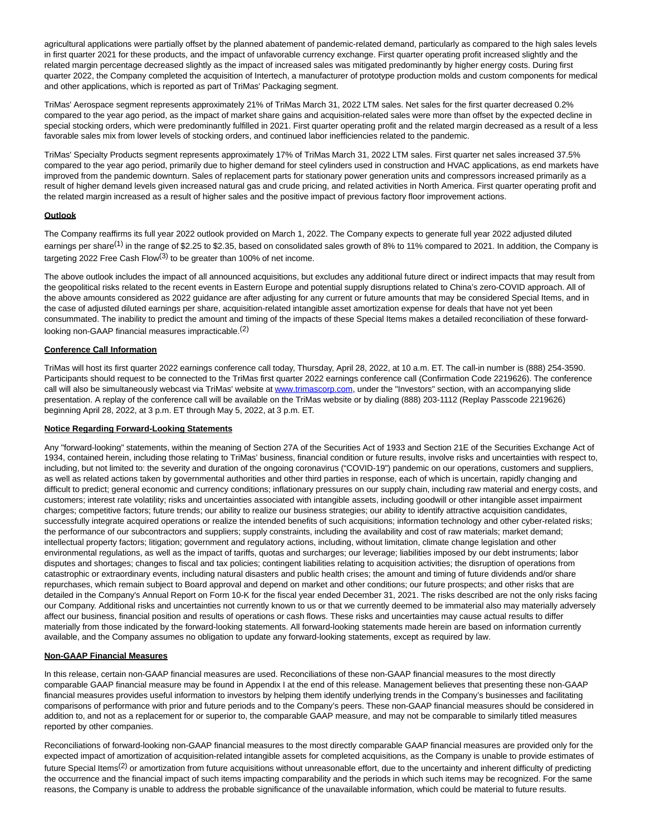agricultural applications were partially offset by the planned abatement of pandemic-related demand, particularly as compared to the high sales levels in first quarter 2021 for these products, and the impact of unfavorable currency exchange. First quarter operating profit increased slightly and the related margin percentage decreased slightly as the impact of increased sales was mitigated predominantly by higher energy costs. During first quarter 2022, the Company completed the acquisition of Intertech, a manufacturer of prototype production molds and custom components for medical and other applications, which is reported as part of TriMas' Packaging segment.

TriMas' Aerospace segment represents approximately 21% of TriMas March 31, 2022 LTM sales. Net sales for the first quarter decreased 0.2% compared to the year ago period, as the impact of market share gains and acquisition-related sales were more than offset by the expected decline in special stocking orders, which were predominantly fulfilled in 2021. First quarter operating profit and the related margin decreased as a result of a less favorable sales mix from lower levels of stocking orders, and continued labor inefficiencies related to the pandemic.

TriMas' Specialty Products segment represents approximately 17% of TriMas March 31, 2022 LTM sales. First quarter net sales increased 37.5% compared to the year ago period, primarily due to higher demand for steel cylinders used in construction and HVAC applications, as end markets have improved from the pandemic downturn. Sales of replacement parts for stationary power generation units and compressors increased primarily as a result of higher demand levels given increased natural gas and crude pricing, and related activities in North America. First quarter operating profit and the related margin increased as a result of higher sales and the positive impact of previous factory floor improvement actions.

### **Outlook**

The Company reaffirms its full year 2022 outlook provided on March 1, 2022. The Company expects to generate full year 2022 adjusted diluted earnings per share<sup>(1)</sup> in the range of \$2.25 to \$2.35, based on consolidated sales growth of 8% to 11% compared to 2021. In addition, the Company is targeting 2022 Free Cash Flow<sup>(3)</sup> to be greater than 100% of net income.

The above outlook includes the impact of all announced acquisitions, but excludes any additional future direct or indirect impacts that may result from the geopolitical risks related to the recent events in Eastern Europe and potential supply disruptions related to China's zero-COVID approach. All of the above amounts considered as 2022 guidance are after adjusting for any current or future amounts that may be considered Special Items, and in the case of adjusted diluted earnings per share, acquisition-related intangible asset amortization expense for deals that have not yet been consummated. The inability to predict the amount and timing of the impacts of these Special Items makes a detailed reconciliation of these forwardlooking non-GAAP financial measures impracticable.(2)

#### **Conference Call Information**

TriMas will host its first quarter 2022 earnings conference call today, Thursday, April 28, 2022, at 10 a.m. ET. The call-in number is (888) 254-3590. Participants should request to be connected to the TriMas first quarter 2022 earnings conference call (Confirmation Code 2219626). The conference call will also be simultaneously webcast via TriMas' website at [www.trimascorp.com,](https://cts.businesswire.com/ct/CT?id=smartlink&url=http%3A%2F%2Fwww.trimascorp.com&esheet=52699934&newsitemid=20220428005241&lan=en-US&anchor=www.trimascorp.com&index=1&md5=d6b2d4543bf1efa096d8575cb23703d3) under the "Investors" section, with an accompanying slide presentation. A replay of the conference call will be available on the TriMas website or by dialing (888) 203-1112 (Replay Passcode 2219626) beginning April 28, 2022, at 3 p.m. ET through May 5, 2022, at 3 p.m. ET.

### **Notice Regarding Forward-Looking Statements**

Any "forward-looking" statements, within the meaning of Section 27A of the Securities Act of 1933 and Section 21E of the Securities Exchange Act of 1934, contained herein, including those relating to TriMas' business, financial condition or future results, involve risks and uncertainties with respect to, including, but not limited to: the severity and duration of the ongoing coronavirus ("COVID-19") pandemic on our operations, customers and suppliers, as well as related actions taken by governmental authorities and other third parties in response, each of which is uncertain, rapidly changing and difficult to predict; general economic and currency conditions; inflationary pressures on our supply chain, including raw material and energy costs, and customers; interest rate volatility; risks and uncertainties associated with intangible assets, including goodwill or other intangible asset impairment charges; competitive factors; future trends; our ability to realize our business strategies; our ability to identify attractive acquisition candidates, successfully integrate acquired operations or realize the intended benefits of such acquisitions; information technology and other cyber-related risks; the performance of our subcontractors and suppliers; supply constraints, including the availability and cost of raw materials; market demand; intellectual property factors; litigation; government and regulatory actions, including, without limitation, climate change legislation and other environmental regulations, as well as the impact of tariffs, quotas and surcharges; our leverage; liabilities imposed by our debt instruments; labor disputes and shortages; changes to fiscal and tax policies; contingent liabilities relating to acquisition activities; the disruption of operations from catastrophic or extraordinary events, including natural disasters and public health crises; the amount and timing of future dividends and/or share repurchases, which remain subject to Board approval and depend on market and other conditions; our future prospects; and other risks that are detailed in the Company's Annual Report on Form 10-K for the fiscal year ended December 31, 2021. The risks described are not the only risks facing our Company. Additional risks and uncertainties not currently known to us or that we currently deemed to be immaterial also may materially adversely affect our business, financial position and results of operations or cash flows. These risks and uncertainties may cause actual results to differ materially from those indicated by the forward-looking statements. All forward-looking statements made herein are based on information currently available, and the Company assumes no obligation to update any forward-looking statements, except as required by law.

#### **Non-GAAP Financial Measures**

In this release, certain non-GAAP financial measures are used. Reconciliations of these non-GAAP financial measures to the most directly comparable GAAP financial measure may be found in Appendix I at the end of this release. Management believes that presenting these non-GAAP financial measures provides useful information to investors by helping them identify underlying trends in the Company's businesses and facilitating comparisons of performance with prior and future periods and to the Company's peers. These non-GAAP financial measures should be considered in addition to, and not as a replacement for or superior to, the comparable GAAP measure, and may not be comparable to similarly titled measures reported by other companies.

Reconciliations of forward-looking non-GAAP financial measures to the most directly comparable GAAP financial measures are provided only for the expected impact of amortization of acquisition-related intangible assets for completed acquisitions, as the Company is unable to provide estimates of future Special Items<sup>(2)</sup> or amortization from future acquisitions without unreasonable effort, due to the uncertainty and inherent difficulty of predicting the occurrence and the financial impact of such items impacting comparability and the periods in which such items may be recognized. For the same reasons, the Company is unable to address the probable significance of the unavailable information, which could be material to future results.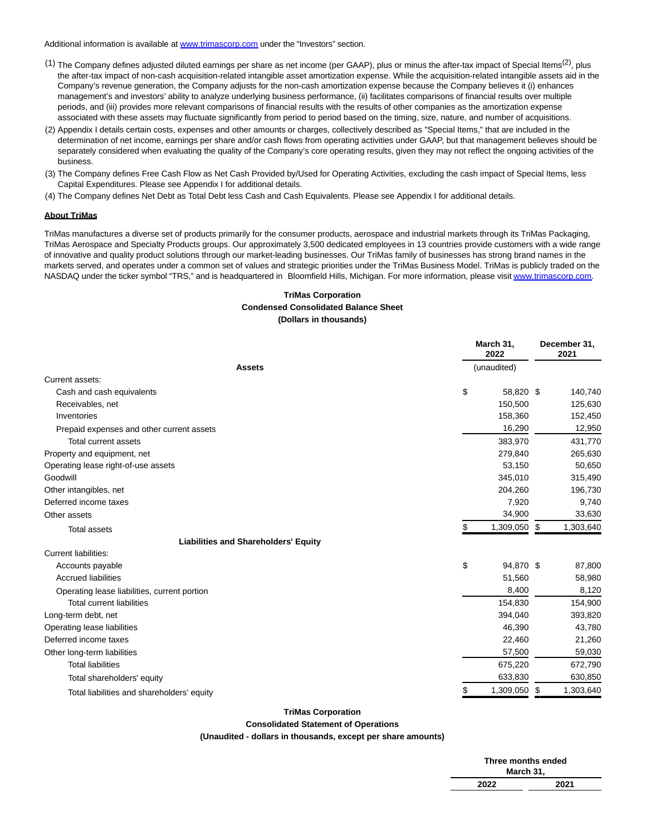Additional information is available at [www.trimascorp.com u](https://cts.businesswire.com/ct/CT?id=smartlink&url=http%3A%2F%2Fwww.trimascorp.com&esheet=52699934&newsitemid=20220428005241&lan=en-US&anchor=www.trimascorp.com&index=2&md5=7ee40819a500b94144069cc0ca543e7f)nder the "Investors" section.

- (1) The Company defines adjusted diluted earnings per share as net income (per GAAP), plus or minus the after-tax impact of Special Items<sup>(2)</sup>, plus the after-tax impact of non-cash acquisition-related intangible asset amortization expense. While the acquisition-related intangible assets aid in the Company's revenue generation, the Company adjusts for the non-cash amortization expense because the Company believes it (i) enhances management's and investors' ability to analyze underlying business performance, (ii) facilitates comparisons of financial results over multiple periods, and (iii) provides more relevant comparisons of financial results with the results of other companies as the amortization expense associated with these assets may fluctuate significantly from period to period based on the timing, size, nature, and number of acquisitions.
- (2) Appendix I details certain costs, expenses and other amounts or charges, collectively described as "Special Items," that are included in the determination of net income, earnings per share and/or cash flows from operating activities under GAAP, but that management believes should be separately considered when evaluating the quality of the Company's core operating results, given they may not reflect the ongoing activities of the business.
- (3) The Company defines Free Cash Flow as Net Cash Provided by/Used for Operating Activities, excluding the cash impact of Special Items, less Capital Expenditures. Please see Appendix I for additional details.
- (4) The Company defines Net Debt as Total Debt less Cash and Cash Equivalents. Please see Appendix I for additional details.

### **About TriMas**

TriMas manufactures a diverse set of products primarily for the consumer products, aerospace and industrial markets through its TriMas Packaging, TriMas Aerospace and Specialty Products groups. Our approximately 3,500 dedicated employees in 13 countries provide customers with a wide range of innovative and quality product solutions through our market-leading businesses. Our TriMas family of businesses has strong brand names in the markets served, and operates under a common set of values and strategic priorities under the TriMas Business Model. TriMas is publicly traded on the NASDAQ under the ticker symbol "TRS," and is headquartered in Bloomfield Hills, Michigan. For more information, please visi[t www.trimascorp.com.](https://cts.businesswire.com/ct/CT?id=smartlink&url=http%3A%2F%2Fwww.trimascorp.com&esheet=52699934&newsitemid=20220428005241&lan=en-US&anchor=www.trimascorp.com&index=3&md5=f7180aa8091881651a9aa7154b68a80e)

## **TriMas Corporation Condensed Consolidated Balance Sheet (Dollars in thousands)**

|                                              |    | March 31,<br>2022 |  | December 31,<br>2021 |
|----------------------------------------------|----|-------------------|--|----------------------|
| <b>Assets</b>                                |    | (unaudited)       |  |                      |
| Current assets:                              |    |                   |  |                      |
| Cash and cash equivalents                    | \$ | 58,820 \$         |  | 140,740              |
| Receivables, net                             |    | 150,500           |  | 125,630              |
| Inventories                                  |    | 158,360           |  | 152,450              |
| Prepaid expenses and other current assets    |    | 16,290            |  | 12,950               |
| Total current assets                         |    | 383,970           |  | 431,770              |
| Property and equipment, net                  |    | 279,840           |  | 265,630              |
| Operating lease right-of-use assets          |    | 53,150            |  | 50,650               |
| Goodwill                                     |    | 345,010           |  | 315,490              |
| Other intangibles, net                       |    | 204,260           |  | 196,730              |
| Deferred income taxes                        |    | 7,920             |  | 9,740                |
| Other assets                                 |    | 34,900            |  | 33,630               |
| <b>Total assets</b>                          | \$ | 1,309,050 \$      |  | 1,303,640            |
| <b>Liabilities and Shareholders' Equity</b>  |    |                   |  |                      |
| Current liabilities:                         |    |                   |  |                      |
| Accounts payable                             | \$ | 94,870 \$         |  | 87,800               |
| <b>Accrued liabilities</b>                   |    | 51,560            |  | 58,980               |
| Operating lease liabilities, current portion |    | 8,400             |  | 8,120                |
| <b>Total current liabilities</b>             |    | 154,830           |  | 154,900              |
| Long-term debt, net                          |    | 394,040           |  | 393,820              |
| Operating lease liabilities                  |    | 46,390            |  | 43,780               |
| Deferred income taxes                        |    | 22,460            |  | 21,260               |
| Other long-term liabilities                  |    | 57,500            |  | 59,030               |
| <b>Total liabilities</b>                     |    | 675,220           |  | 672,790              |
| Total shareholders' equity                   |    | 633,830           |  | 630,850              |
| Total liabilities and shareholders' equity   | S  | 1,309,050 \$      |  | 1,303,640            |

### **TriMas Corporation**

**Consolidated Statement of Operations**

**(Unaudited - dollars in thousands, except per share amounts)**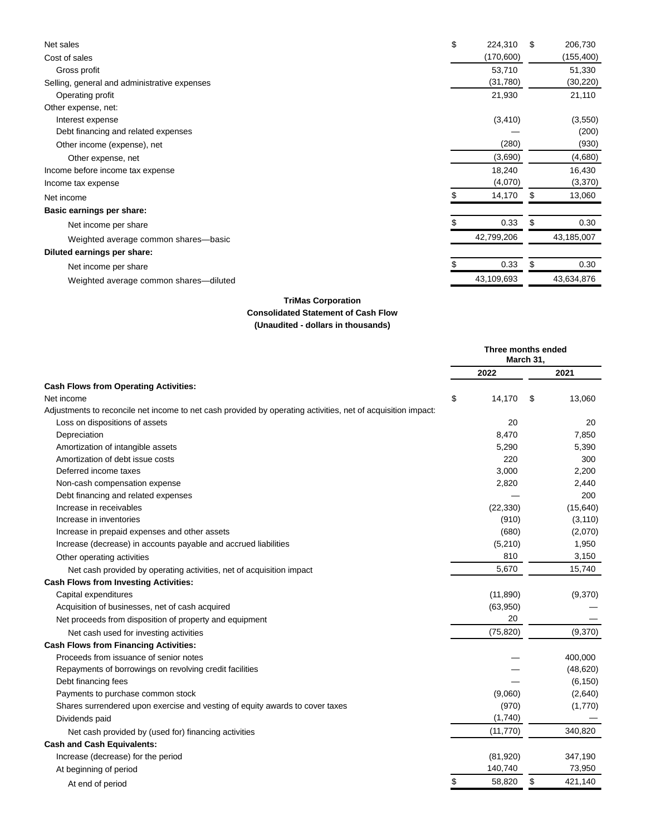| Net sales                                    | \$<br>224,310 | S  | 206,730    |
|----------------------------------------------|---------------|----|------------|
| Cost of sales                                | (170, 600)    |    | (155, 400) |
| Gross profit                                 | 53,710        |    | 51,330     |
| Selling, general and administrative expenses | (31,780)      |    | (30, 220)  |
| Operating profit                             | 21,930        |    | 21,110     |
| Other expense, net:                          |               |    |            |
| Interest expense                             | (3, 410)      |    | (3,550)    |
| Debt financing and related expenses          |               |    | (200)      |
| Other income (expense), net                  | (280)         |    | (930)      |
| Other expense, net                           | (3,690)       |    | (4,680)    |
| Income before income tax expense             | 18,240        |    | 16,430     |
| Income tax expense                           | (4,070)       |    | (3,370)    |
| Net income                                   | 14,170        | \$ | 13,060     |
| Basic earnings per share:                    |               |    |            |
| Net income per share                         | 0.33          | \$ | 0.30       |
| Weighted average common shares-basic         | 42,799,206    |    | 43,185,007 |
| Diluted earnings per share:                  |               |    |            |
| Net income per share                         | 0.33          | \$ | 0.30       |
| Weighted average common shares-diluted       | 43,109,693    |    | 43,634,876 |

## **TriMas Corporation Consolidated Statement of Cash Flow (Unaudited - dollars in thousands)**

|                                                                                                              | Three months ended<br>March 31, |           |    |           |  |
|--------------------------------------------------------------------------------------------------------------|---------------------------------|-----------|----|-----------|--|
|                                                                                                              |                                 | 2022      |    | 2021      |  |
| <b>Cash Flows from Operating Activities:</b>                                                                 |                                 |           |    |           |  |
| Net income                                                                                                   | \$                              | 14,170    | \$ | 13,060    |  |
| Adjustments to reconcile net income to net cash provided by operating activities, net of acquisition impact: |                                 |           |    |           |  |
| Loss on dispositions of assets                                                                               |                                 | 20        |    | 20        |  |
| Depreciation                                                                                                 |                                 | 8,470     |    | 7,850     |  |
| Amortization of intangible assets                                                                            |                                 | 5,290     |    | 5,390     |  |
| Amortization of debt issue costs                                                                             |                                 | 220       |    | 300       |  |
| Deferred income taxes                                                                                        |                                 | 3,000     |    | 2,200     |  |
| Non-cash compensation expense                                                                                |                                 | 2,820     |    | 2,440     |  |
| Debt financing and related expenses                                                                          |                                 |           |    | 200       |  |
| Increase in receivables                                                                                      |                                 | (22, 330) |    | (15, 640) |  |
| Increase in inventories                                                                                      |                                 | (910)     |    | (3, 110)  |  |
| Increase in prepaid expenses and other assets                                                                |                                 | (680)     |    | (2,070)   |  |
| Increase (decrease) in accounts payable and accrued liabilities                                              |                                 | (5,210)   |    | 1,950     |  |
| Other operating activities                                                                                   |                                 | 810       |    | 3,150     |  |
| Net cash provided by operating activities, net of acquisition impact                                         |                                 | 5,670     |    | 15,740    |  |
| <b>Cash Flows from Investing Activities:</b>                                                                 |                                 |           |    |           |  |
| Capital expenditures                                                                                         |                                 | (11, 890) |    | (9,370)   |  |
| Acquisition of businesses, net of cash acquired                                                              |                                 | (63,950)  |    |           |  |
| Net proceeds from disposition of property and equipment                                                      |                                 | 20        |    |           |  |
| Net cash used for investing activities                                                                       |                                 | (75, 820) |    | (9,370)   |  |
| <b>Cash Flows from Financing Activities:</b>                                                                 |                                 |           |    |           |  |
| Proceeds from issuance of senior notes                                                                       |                                 |           |    | 400,000   |  |
| Repayments of borrowings on revolving credit facilities                                                      |                                 |           |    | (48, 620) |  |
| Debt financing fees                                                                                          |                                 |           |    | (6, 150)  |  |
| Payments to purchase common stock                                                                            |                                 | (9,060)   |    | (2,640)   |  |
| Shares surrendered upon exercise and vesting of equity awards to cover taxes                                 |                                 | (970)     |    | (1,770)   |  |
| Dividends paid                                                                                               |                                 | (1,740)   |    |           |  |
| Net cash provided by (used for) financing activities                                                         |                                 | (11, 770) |    | 340,820   |  |
| <b>Cash and Cash Equivalents:</b>                                                                            |                                 |           |    |           |  |
| Increase (decrease) for the period                                                                           |                                 | (81,920)  |    | 347,190   |  |
| At beginning of period                                                                                       |                                 | 140,740   |    | 73,950    |  |
| At end of period                                                                                             | \$                              | 58,820    | \$ | 421,140   |  |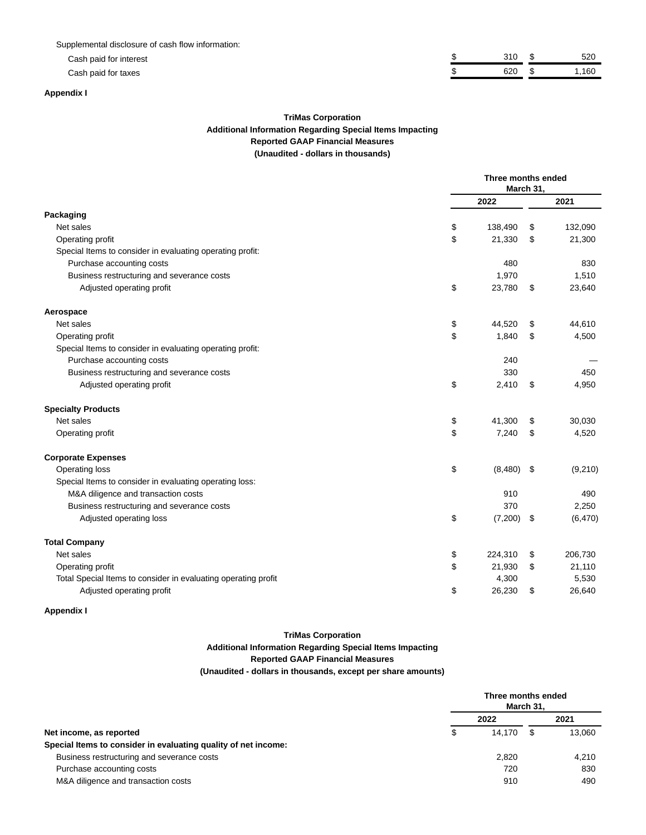Supplemental disclosure of cash flow information:

Cash paid for interest

Cash paid for taxes

| 310 | トツバ   |
|-----|-------|
| 620 | 1,160 |

### **Appendix I**

## **TriMas Corporation Additional Information Regarding Special Items Impacting Reported GAAP Financial Measures (Unaudited - dollars in thousands)**

|                                                                | Three months ended<br>March 31, |      |          |  |  |  |
|----------------------------------------------------------------|---------------------------------|------|----------|--|--|--|
|                                                                | 2022                            |      | 2021     |  |  |  |
| Packaging                                                      |                                 |      |          |  |  |  |
| Net sales                                                      | \$<br>138,490                   | \$   | 132,090  |  |  |  |
| Operating profit                                               | \$<br>21,330                    | \$   | 21,300   |  |  |  |
| Special Items to consider in evaluating operating profit:      |                                 |      |          |  |  |  |
| Purchase accounting costs                                      | 480                             |      | 830      |  |  |  |
| Business restructuring and severance costs                     | 1,970                           |      | 1,510    |  |  |  |
| Adjusted operating profit                                      | \$<br>23,780                    | \$   | 23,640   |  |  |  |
| Aerospace                                                      |                                 |      |          |  |  |  |
| Net sales                                                      | \$<br>44,520                    | \$   | 44,610   |  |  |  |
| Operating profit                                               | \$<br>1,840                     | \$   | 4,500    |  |  |  |
| Special Items to consider in evaluating operating profit:      |                                 |      |          |  |  |  |
| Purchase accounting costs                                      | 240                             |      |          |  |  |  |
| Business restructuring and severance costs                     | 330                             |      | 450      |  |  |  |
| Adjusted operating profit                                      | \$<br>2,410                     | \$   | 4,950    |  |  |  |
| <b>Specialty Products</b>                                      |                                 |      |          |  |  |  |
| Net sales                                                      | \$<br>41,300                    | \$   | 30,030   |  |  |  |
| Operating profit                                               | \$<br>7,240                     | \$   | 4,520    |  |  |  |
| <b>Corporate Expenses</b>                                      |                                 |      |          |  |  |  |
| Operating loss                                                 | \$<br>(8,480)                   | -\$  | (9,210)  |  |  |  |
| Special Items to consider in evaluating operating loss:        |                                 |      |          |  |  |  |
| M&A diligence and transaction costs                            | 910                             |      | 490      |  |  |  |
| Business restructuring and severance costs                     | 370                             |      | 2,250    |  |  |  |
| Adjusted operating loss                                        | \$<br>(7,200)                   | - \$ | (6, 470) |  |  |  |
| <b>Total Company</b>                                           |                                 |      |          |  |  |  |
| Net sales                                                      | \$<br>224,310                   | \$   | 206,730  |  |  |  |
| Operating profit                                               | \$<br>21,930                    | \$   | 21,110   |  |  |  |
| Total Special Items to consider in evaluating operating profit | 4,300                           |      | 5,530    |  |  |  |
| Adjusted operating profit                                      | \$<br>26,230                    | \$   | 26,640   |  |  |  |

## **Appendix I**

## **TriMas Corporation Additional Information Regarding Special Items Impacting Reported GAAP Financial Measures (Unaudited - dollars in thousands, except per share amounts)**

|                                                                | Three months ended | March 31, |        |
|----------------------------------------------------------------|--------------------|-----------|--------|
|                                                                | 2022               |           | 2021   |
| Net income, as reported                                        | \$<br>14.170       | S         | 13,060 |
| Special Items to consider in evaluating quality of net income: |                    |           |        |
| Business restructuring and severance costs                     | 2.820              |           | 4.210  |
| Purchase accounting costs                                      | 720                |           | 830    |
| M&A diligence and transaction costs                            | 910                |           | 490    |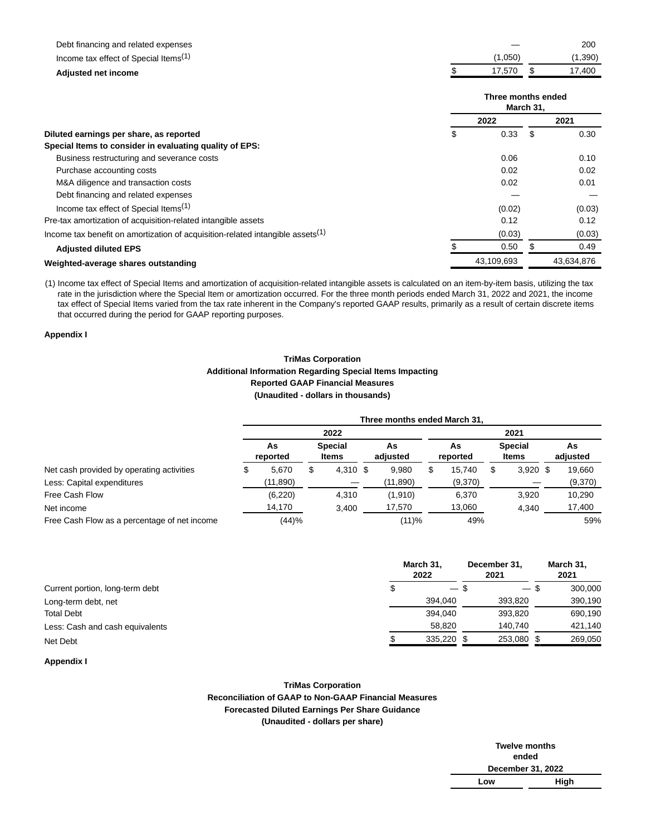| Debt financing and related expenses                                                        |                    |           | 200        |
|--------------------------------------------------------------------------------------------|--------------------|-----------|------------|
| Income tax effect of Special Items <sup>(1)</sup>                                          | (1,050)            |           | (1,390)    |
| <b>Adjusted net income</b>                                                                 | 17,570             | \$        | 17,400     |
|                                                                                            | Three months ended | March 31, |            |
|                                                                                            | 2022               |           | 2021       |
| Diluted earnings per share, as reported                                                    | \$<br>0.33         | -\$       | 0.30       |
| Special Items to consider in evaluating quality of EPS:                                    |                    |           |            |
| Business restructuring and severance costs                                                 | 0.06               |           | 0.10       |
| Purchase accounting costs                                                                  | 0.02               |           | 0.02       |
| M&A diligence and transaction costs                                                        | 0.02               |           | 0.01       |
| Debt financing and related expenses                                                        |                    |           |            |
| Income tax effect of Special Items <sup>(1)</sup>                                          | (0.02)             |           | (0.03)     |
| Pre-tax amortization of acquisition-related intangible assets                              | 0.12               |           | 0.12       |
| Income tax benefit on amortization of acquisition-related intangible assets <sup>(1)</sup> | (0.03)             |           | (0.03)     |
| <b>Adjusted diluted EPS</b>                                                                | 0.50               | \$        | 0.49       |
| Weighted-average shares outstanding                                                        | 43,109,693         |           | 43,634,876 |

(1) Income tax effect of Special Items and amortization of acquisition-related intangible assets is calculated on an item-by-item basis, utilizing the tax rate in the jurisdiction where the Special Item or amortization occurred. For the three month periods ended March 31, 2022 and 2021, the income tax effect of Special Items varied from the tax rate inherent in the Company's reported GAAP results, primarily as a result of certain discrete items that occurred during the period for GAAP reporting purposes.

## **Appendix I**

### **TriMas Corporation Additional Information Regarding Special Items Impacting Reported GAAP Financial Measures (Unaudited - dollars in thousands)**

|                                              |                |   |                         |  | Three months ended March 31, |      |                |   |                         |  |                |
|----------------------------------------------|----------------|---|-------------------------|--|------------------------------|------|----------------|---|-------------------------|--|----------------|
|                                              | 2022           |   |                         |  |                              | 2021 |                |   |                         |  |                |
|                                              | As<br>reported |   | <b>Special</b><br>Items |  | As<br>adjusted               |      | As<br>reported |   | <b>Special</b><br>Items |  | As<br>adjusted |
| Net cash provided by operating activities    | 5,670          | S | 4,310 \$                |  | 9,980                        | S    | 15.740         | J | $3,920$ \$              |  | 19.660         |
| Less: Capital expenditures                   | (11, 890)      |   |                         |  | (11,890)                     |      | (9,370)        |   |                         |  | (9,370)        |
| Free Cash Flow                               | (6, 220)       |   | 4,310                   |  | (1,910)                      |      | 6.370          |   | 3,920                   |  | 10,290         |
| Net income                                   | 14,170         |   | 3.400                   |  | 17,570                       |      | 13,060         |   | 4.340                   |  | 17,400         |
| Free Cash Flow as a percentage of net income | (44)%          |   |                         |  | (11)%                        |      | 49%            |   |                         |  | 59%            |

|                                 | March 31,<br>2022 |  | December 31,<br>2021 |  | March 31,<br>2021 |  |  |
|---------------------------------|-------------------|--|----------------------|--|-------------------|--|--|
| Current portion, long-term debt | $-$ \$            |  | $-$ \$               |  | 300,000           |  |  |
| Long-term debt, net             | 394.040           |  | 393.820              |  | 390,190           |  |  |
| <b>Total Debt</b>               | 394.040           |  | 393.820              |  | 690,190           |  |  |
| Less: Cash and cash equivalents | 58.820            |  | 140.740              |  | 421,140           |  |  |
| Net Debt                        | 335.220 \$        |  | 253.080              |  | 269,050           |  |  |

### **Appendix I**

### **TriMas Corporation Reconciliation of GAAP to Non-GAAP Financial Measures Forecasted Diluted Earnings Per Share Guidance (Unaudited - dollars per share)**

| <b>Twelve months</b> |      |  |  |  |  |
|----------------------|------|--|--|--|--|
| ended                |      |  |  |  |  |
| December 31, 2022    |      |  |  |  |  |
| Low                  | High |  |  |  |  |